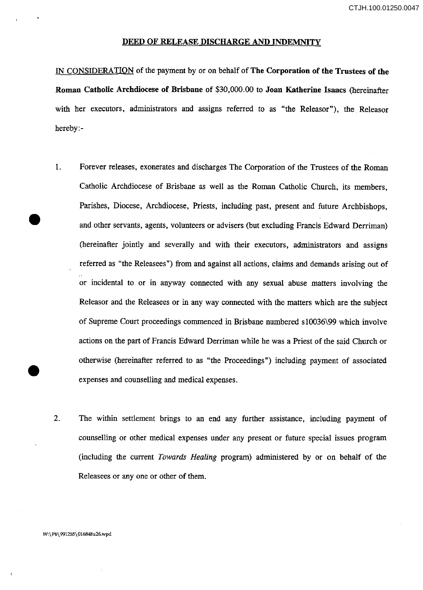### DEED OF RELEASE DISCHARGE AND INDEMNITY

IN CONSIDERATION of the payment by or on behalf of The Corporation of the Trustees of the Roman Catholic Archdiocese of Brisbane of \$30,000.00 to Joan Katherine Isaacs (hereinafter with her executors, administrators and assigns referred to as "the Releasor"), the Releasor hereby:-

- I. Forever releases, exonerates and discharges The Corporation of the Trustees of the Roman Catholic Archdiocese of Brisbane as well as the Roman Catholic Church, its members, Parishes, Diocese, Archdiocese, Priests, including past, present and future Archbishops, and other servants, agents, volunteers or advisers (but excluding Francis Edward Derriman) (hereinafter jointly and severally and with their executors, administrators and assigns referred as "the Releasees") from and against all actions, claims and demands arising out of or incidental to or in anyway connected with any sexual abuse matters involving the Releasor and the Releasees or in any way connected with the matters which are the subject of Supreme Court proceedings commenced in Brisbane numbered s10036\99 which involve actions on the part of Francis Edward Derriman while he was a Priest of the said Church or otherwise (hereinafter referred to as "the Proceedings") including payment of associated expenses and counselling and medical expenses.
- 2. The within settlement brings to an end any further assistance, including payment of counselling or other medical expenses under any present or future special issues program (including the current *Towards Healing* program) administered by or on behalf of the Releasees or anyone or other of them.

W:\P6\991255\016848u26.wpd

•

•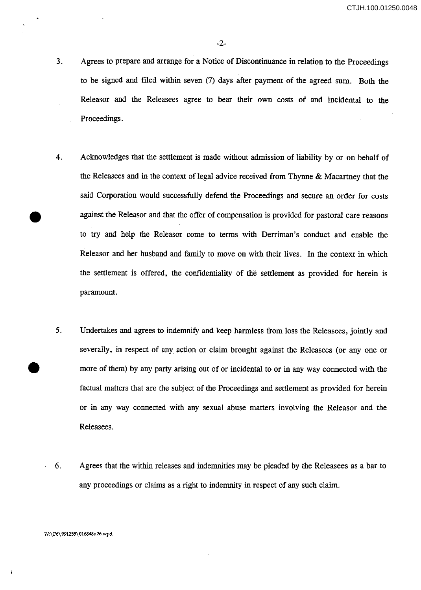-2-

- 3. Agrees to prepare and arrange for a Notice of Discontinuance in relation to the Proceedings to be signed and filed within seven (7) days after payment of the agreed sum. Both the Releasor and the Releasees agree to bear their own costs of and incidental to the Proceedings.
- 4. Acknowledges that the settlement is made without admission of liability by or on behalf of the Releasees and in the context of legal advice received from Thynne & Macartney that the said Corporation would successfully defend the Proceedings and secure an order for costs against the Releasor and that the offer of compensation is provided for pastoral care reasons to try and help the Releasor come to terms with Derriman's conduct and enable the Releasor and her husband and family to move on with their lives. **In** the context in which the settlement is offered, the confidentiality of the settlement as provided for herein is paramount.
- 5. Undertakes and agrees to indemnify and keep harmless from loss the Releasees, jointly and severally, in respect of any action or claim brought against the Releasees (or anyone or more of them) by any party arising out of or incidental to or in any way connected with the factual matters that are the subject of the Proceedings and settlement as provided for herein or in any way connected with any sexual abuse matters involving the Releasor and the Releasees.
	- . 6. Agrees that the within releases and indemnities may be pleaded by the Releasees as a bar to any proceedings or claims as a right to indemnity in respect of any such claim.

#### W,\P6\991255\Ol6848u26.wpd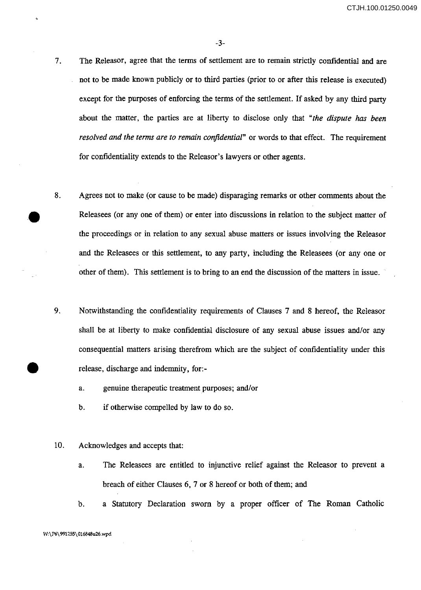-3-

- 7. The Releasor, agree that the terms of settlement are to remain strictly confidential and are not to be made known publicly or to third parties (prior to or after this release is executed) except for the purposes of enforcing the terms of the settlement. If asked by any third party about the matter, the parties are at liberty to disclose only that *"the dispute has been resolved and the terms are to remain confidential"* or words to that effect. The requirement for confidentiality extends to the Releasor's lawyers or other agents.
- 8. Agrees not to make (or cause to be made) disparaging remarks or other comments about the Releasees (or anyone of them) or enter into discussions in relation to the subject matter of the proceedings or in relation to any sexual abuse matters or issues involving the Releasor and the Releasees or this settlement, to any party, including the Releasees (or anyone or other of them). This settlement is to bring to an end the discussion of the matters in issue.
	- 9. Notwithstanding the confidentiality requirements of Clauses 7 and 8 hereof, the Releasor shall be at liberty to make confidential disclosure of any sexual abuse issues and/or any consequential matters arising therefrom which are the subject of confidentiality under this release, discharge and indemnity, for:
		- a. genuine therapeutic treatment purposes; and/or
		- b. if otherwise compelled by law to do so.

## 10. Acknowledges and accepts that:

- a. The Releasees are entitled to injunctive relief against the Releasor to prevent a breach of either Clauses 6, 7 or 8 hereof or both of them; and
- b. a Statutory Declaration sworn by a proper officer of The Roman Catholic

•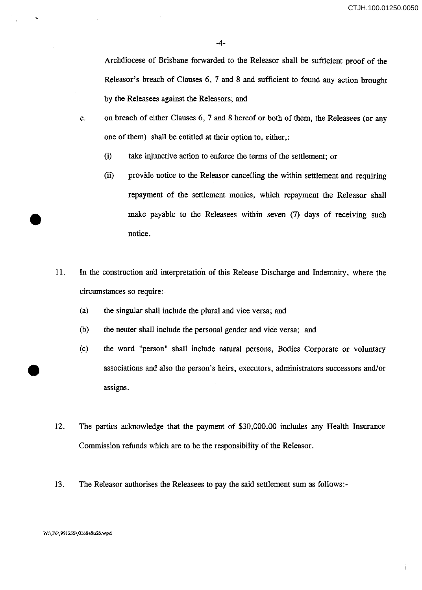Archdiocese of Brisbane forwarded to the Releasor shall be sufficient proof of the Releasor's breach of Clauses 6, 7 and 8 and sufficient to found any action brought by the Releasees against the Releasors; and

- c. on breach of either Clauses 6, 7 and 8 hereof or both of them, the Releasees (or any one of them) shall be entitled at their option to, either,:
	- (i) take injunctive action to enforce the terms of the settlement; or
	- (ii) provide notice to the Releasor cancelling the within settlement and requiring repayment of the settlement monies, which repayment the Releasor shall make payable to the Releasees within seven (7) days of receiving such notice.
- 11. **In** the construction and interpretation of this Release Discharge and Indemnity, where the circumstances so require:-
	- (a) the singular shall include the plural and vice versa; and
	- (b) the neuter shall include the personal gender and vice versa; and
	- (c) the word "person" shall include natural persons, Bodies Corporate or voluntary associations and also the person's heirs, executors, administrators successors and/or assigns.
- 12. The parties acknowledge that the payment of \$30,000.00 includes any Health Insurance Commission refunds which are to be the responsibility of the Releasor.
- 13. The Releasor authorises the Releasees to pay the said settlement sum as follows:-

### W:\P6\991255\016848u26.wpd

•

•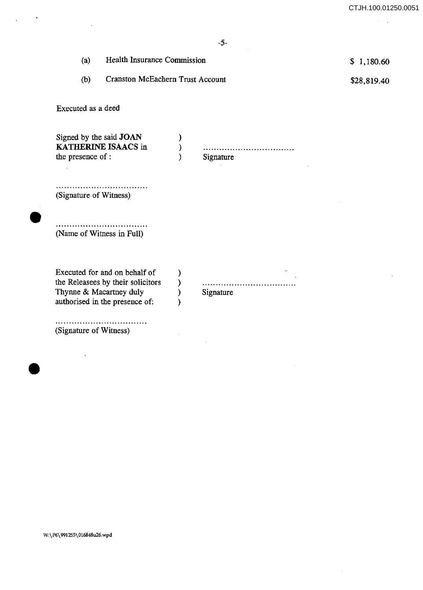) )  $\lambda$ 

)  $\lambda$ ) )

| (a) | Health Insurance Commission             | \$1,180,60  |
|-----|-----------------------------------------|-------------|
|     | <b>Cranston McEachern Trust Account</b> | \$28,819.40 |

Executed as a deed

 $\mathbb{R}^2$ 

Signed by the said **JOAN KATHERINE** ISAACS in the presence of :

.................................. Signature

(Signature of Witness)

• (Name of Witness in Full)

> Executed for and on behalf of the Releasees by their solicitors Thynne & Macartney duly authorised in the presence of:

(Signature of Witness)

•

................................. Signature